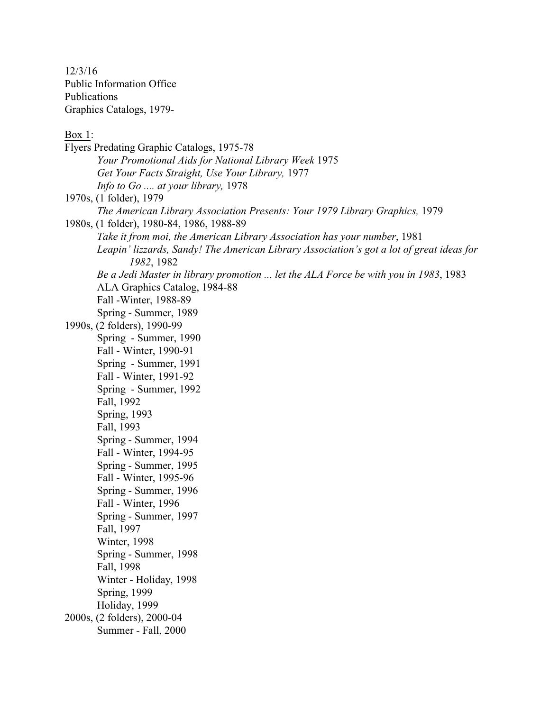12/3/16 Public Information Office Publications Graphics Catalogs, 1979-

Box 1:

Flyers Predating Graphic Catalogs, 1975-78 *Your Promotional Aids for National Library Week* 1975 *Get Your Facts Straight, Use Your Library,* 1977 *Info to Go .... at your library,* 1978 1970s, (1 folder), 1979 *The American Library Association Presents: Your 1979 Library Graphics,* 1979 1980s, (1 folder), 1980-84, 1986, 1988-89 *Take it from moi, the American Library Association has your number*, 1981 *Leapin' lizzards, Sandy! The American Library Association's got a lot of great ideas for 1982*, 1982 *Be a Jedi Master in library promotion ... let the ALA Force be with you in 1983*, 1983 ALA Graphics Catalog, 1984-88 Fall -Winter, 1988-89 Spring - Summer, 1989 1990s, (2 folders), 1990-99 Spring - Summer, 1990 Fall - Winter, 1990-91 Spring - Summer, 1991 Fall - Winter, 1991-92 Spring - Summer, 1992 Fall, 1992 Spring, 1993 Fall, 1993 Spring - Summer, 1994 Fall - Winter, 1994-95 Spring - Summer, 1995 Fall - Winter, 1995-96 Spring - Summer, 1996 Fall - Winter, 1996 Spring - Summer, 1997 Fall, 1997 Winter, 1998 Spring - Summer, 1998 Fall, 1998 Winter - Holiday, 1998 Spring, 1999 Holiday, 1999 2000s, (2 folders), 2000-04 Summer - Fall, 2000